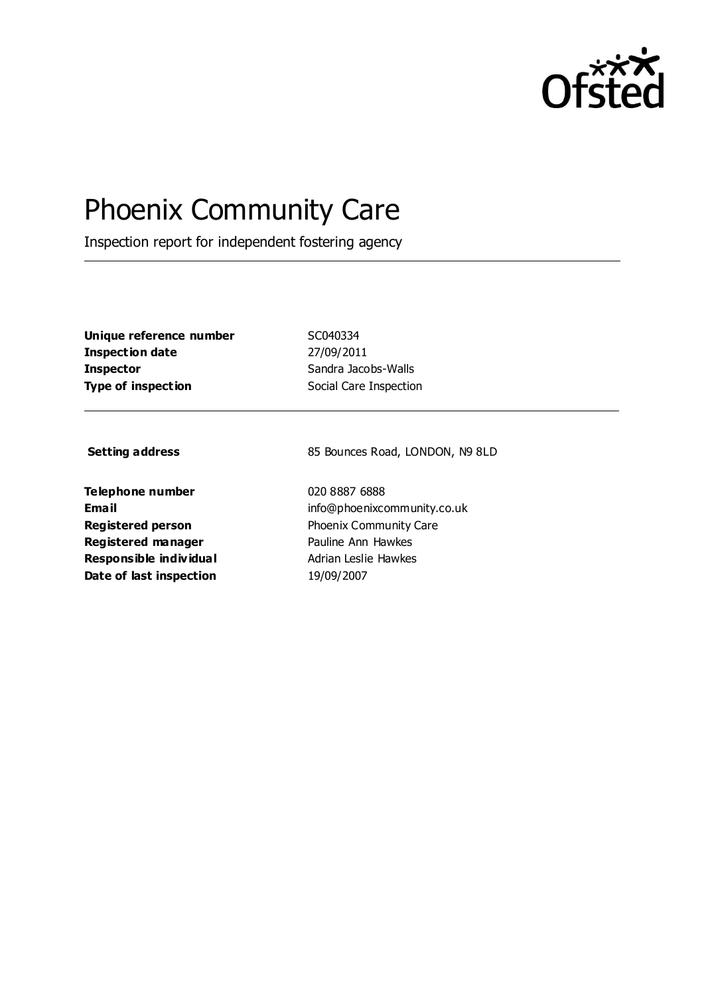

# Phoenix Community Care

Inspection report for independent fostering agency

**Unique reference number** SC040334 **Inspection date** 27/09/2011 **Inspector** Sandra Jacobs-Walls **Type of inspection** Social Care Inspection

**Telephone number** 020 8887 6888 **Registered manager** Pauline Ann Hawkes **Responsible individual** Adrian Leslie Hawkes **Date of last inspection** 19/09/2007

**Setting address** 85 Bounces Road, LONDON, N9 8LD

**Email** info@phoenixcommunity.co.uk **Registered person** Phoenix Community Care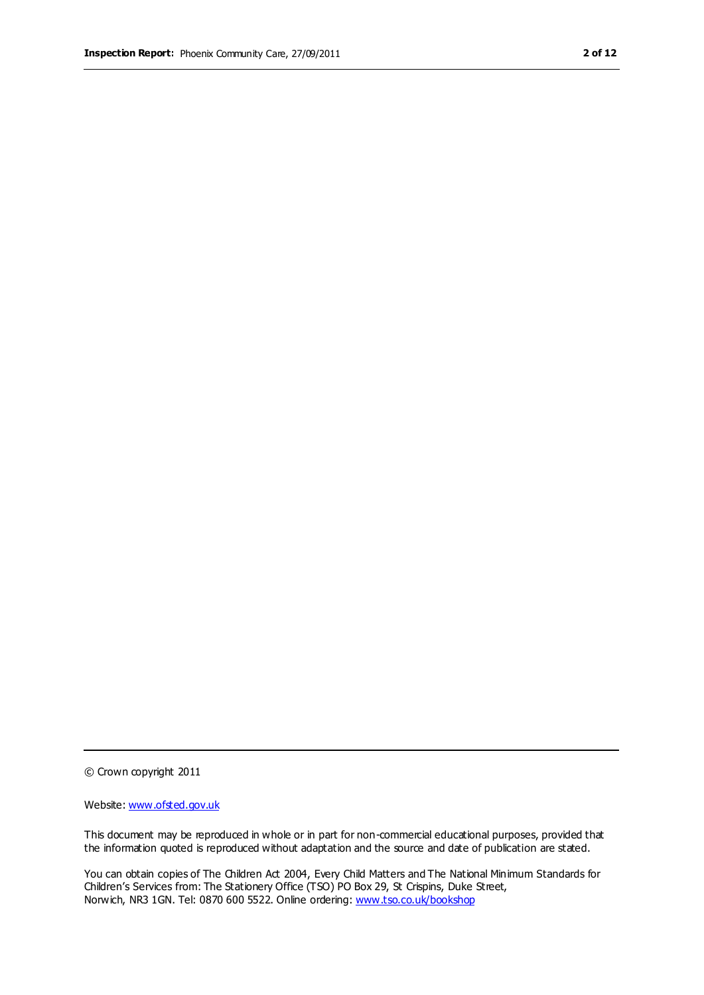© Crown copyright 2011

Website: www.ofsted.gov.uk

This document may be reproduced in whole or in part for non-commercial educational purposes, provided that the information quoted is reproduced without adaptation and the source and date of publication are stated.

You can obtain copies of The Children Act 2004, Every Child Matters and The National Minimum Standards for Children's Services from: The Stationery Office (TSO) PO Box 29, St Crispins, Duke Street, Norwich, NR3 1GN. Tel: 0870 600 5522. Online ordering: www.tso.co.uk/bookshop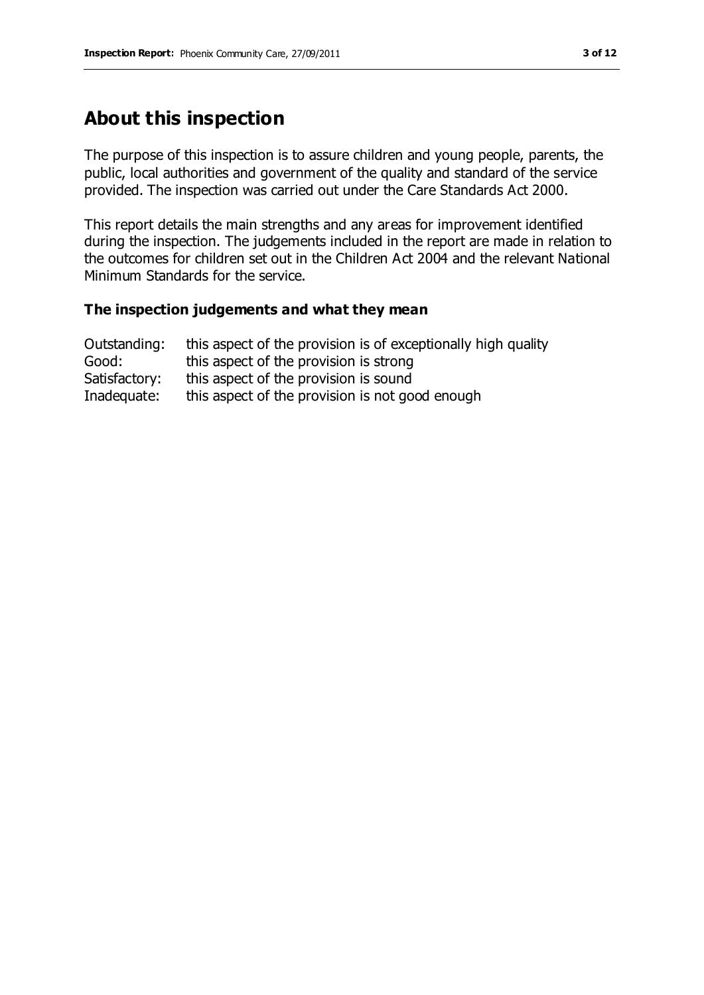# **About this inspection**

The purpose of this inspection is to assure children and young people, parents, the public, local authorities and government of the quality and standard of the service provided. The inspection was carried out under the Care Standards Act 2000.

This report details the main strengths and any areas for improvement identified during the inspection. The judgements included in the report are made in relation to the outcomes for children set out in the Children Act 2004 and the relevant National Minimum Standards for the service.

#### **The inspection judgements and what they mean**

| Outstanding:  | this aspect of the provision is of exceptionally high quality |
|---------------|---------------------------------------------------------------|
| Good:         | this aspect of the provision is strong                        |
| Satisfactory: | this aspect of the provision is sound                         |
| Inadequate:   | this aspect of the provision is not good enough               |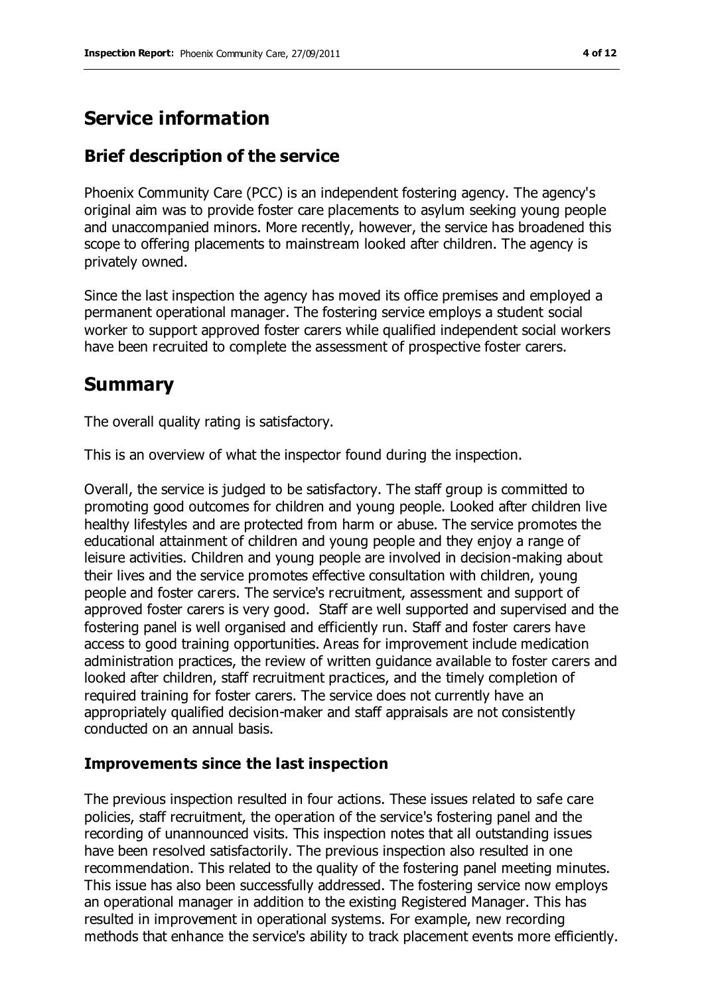# **Service information**

# **Brief description of the service**

Phoenix Community Care (PCC) is an independent fostering agency. The agency's original aim was to provide foster care placements to asylum seeking young people and unaccompanied minors. More recently, however, the service has broadened this scope to offering placements to mainstream looked after children. The agency is privately owned.

Since the last inspection the agency has moved its office premises and employed a permanent operational manager. The fostering service employs a student social worker to support approved foster carers while qualified independent social workers have been recruited to complete the assessment of prospective foster carers.

# **Summary**

The overall quality rating is satisfactory.

This is an overview of what the inspector found during the inspection.

Overall, the service is judged to be satisfactory. The staff group is committed to promoting good outcomes for children and young people. Looked after children live healthy lifestyles and are protected from harm or abuse. The service promotes the educational attainment of children and young people and they enjoy a range of leisure activities. Children and young people are involved in decision-making about their lives and the service promotes effective consultation with children, young people and foster carers. The service's recruitment, assessment and support of approved foster carers is very good. Staff are well supported and supervised and the fostering panel is well organised and efficiently run. Staff and foster carers have access to good training opportunities. Areas for improvement include medication administration practices, the review of written guidance available to foster carers and looked after children, staff recruitment practices, and the timely completion of required training for foster carers. The service does not currently have an appropriately qualified decision-maker and staff appraisals are not consistently conducted on an annual basis.

## **Improvements since the last inspection**

The previous inspection resulted in four actions. These issues related to safe care policies, staff recruitment, the operation of the service's fostering panel and the recording of unannounced visits. This inspection notes that all outstanding issues have been resolved satisfactorily. The previous inspection also resulted in one recommendation. This related to the quality of the fostering panel meeting minutes. This issue has also been successfully addressed. The fostering service now employs an operational manager in addition to the existing Registered Manager. This has resulted in improvement in operational systems. For example, new recording methods that enhance the service's ability to track placement events more efficiently.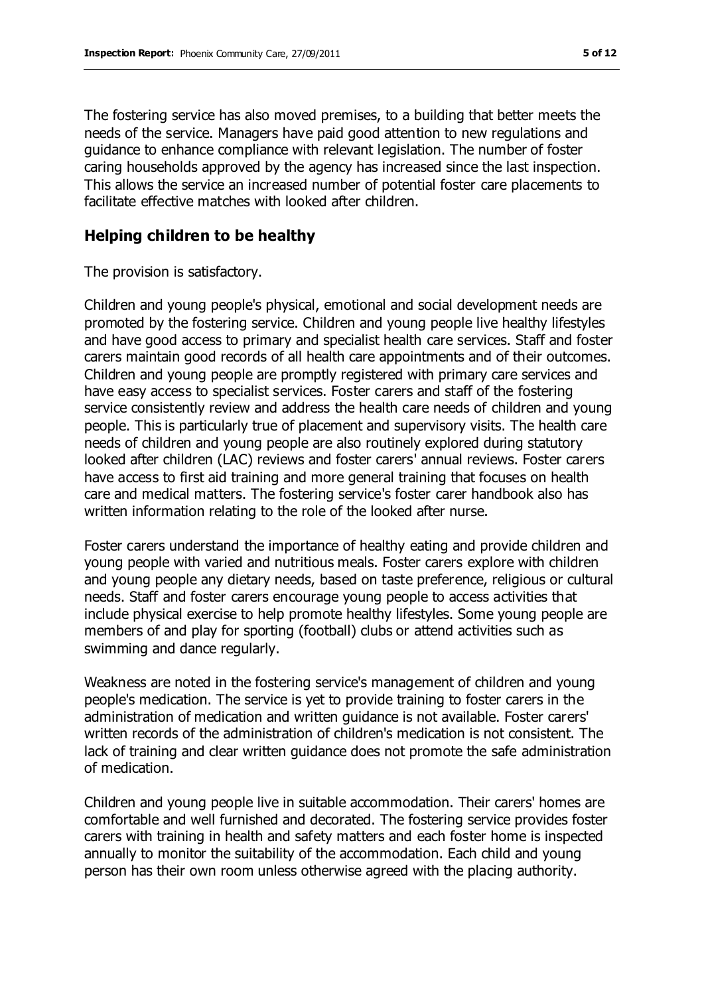The fostering service has also moved premises, to a building that better meets the needs of the service. Managers have paid good attention to new regulations and guidance to enhance compliance with relevant legislation. The number of foster caring households approved by the agency has increased since the last inspection. This allows the service an increased number of potential foster care placements to facilitate effective matches with looked after children.

## **Helping children to be healthy**

The provision is satisfactory.

Children and young people's physical, emotional and social development needs are promoted by the fostering service. Children and young people live healthy lifestyles and have good access to primary and specialist health care services. Staff and foster carers maintain good records of all health care appointments and of their outcomes. Children and young people are promptly registered with primary care services and have easy access to specialist services. Foster carers and staff of the fostering service consistently review and address the health care needs of children and young people. This is particularly true of placement and supervisory visits. The health care needs of children and young people are also routinely explored during statutory looked after children (LAC) reviews and foster carers' annual reviews. Foster carers have access to first aid training and more general training that focuses on health care and medical matters. The fostering service's foster carer handbook also has written information relating to the role of the looked after nurse.

Foster carers understand the importance of healthy eating and provide children and young people with varied and nutritious meals. Foster carers explore with children and young people any dietary needs, based on taste preference, religious or cultural needs. Staff and foster carers encourage young people to access activities that include physical exercise to help promote healthy lifestyles. Some young people are members of and play for sporting (football) clubs or attend activities such as swimming and dance regularly.

Weakness are noted in the fostering service's management of children and young people's medication. The service is yet to provide training to foster carers in the administration of medication and written guidance is not available. Foster carers' written records of the administration of children's medication is not consistent. The lack of training and clear written guidance does not promote the safe administration of medication.

Children and young people live in suitable accommodation. Their carers' homes are comfortable and well furnished and decorated. The fostering service provides foster carers with training in health and safety matters and each foster home is inspected annually to monitor the suitability of the accommodation. Each child and young person has their own room unless otherwise agreed with the placing authority.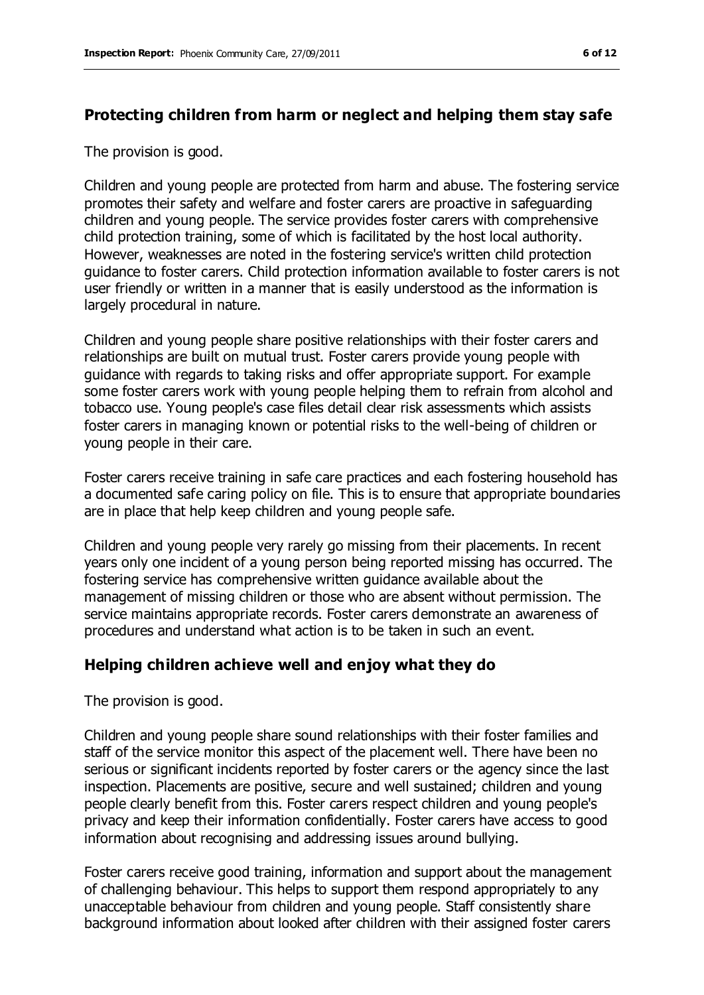# **Protecting children from harm or neglect and helping them stay safe**

The provision is good.

Children and young people are protected from harm and abuse. The fostering service promotes their safety and welfare and foster carers are proactive in safeguarding children and young people. The service provides foster carers with comprehensive child protection training, some of which is facilitated by the host local authority. However, weaknesses are noted in the fostering service's written child protection guidance to foster carers. Child protection information available to foster carers is not user friendly or written in a manner that is easily understood as the information is largely procedural in nature.

Children and young people share positive relationships with their foster carers and relationships are built on mutual trust. Foster carers provide young people with guidance with regards to taking risks and offer appropriate support. For example some foster carers work with young people helping them to refrain from alcohol and tobacco use. Young people's case files detail clear risk assessments which assists foster carers in managing known or potential risks to the well-being of children or young people in their care.

Foster carers receive training in safe care practices and each fostering household has a documented safe caring policy on file. This is to ensure that appropriate boundaries are in place that help keep children and young people safe.

Children and young people very rarely go missing from their placements. In recent years only one incident of a young person being reported missing has occurred. The fostering service has comprehensive written guidance available about the management of missing children or those who are absent without permission. The service maintains appropriate records. Foster carers demonstrate an awareness of procedures and understand what action is to be taken in such an event.

## **Helping children achieve well and enjoy what they do**

The provision is good.

Children and young people share sound relationships with their foster families and staff of the service monitor this aspect of the placement well. There have been no serious or significant incidents reported by foster carers or the agency since the last inspection. Placements are positive, secure and well sustained; children and young people clearly benefit from this. Foster carers respect children and young people's privacy and keep their information confidentially. Foster carers have access to good information about recognising and addressing issues around bullying.

Foster carers receive good training, information and support about the management of challenging behaviour. This helps to support them respond appropriately to any unacceptable behaviour from children and young people. Staff consistently share background information about looked after children with their assigned foster carers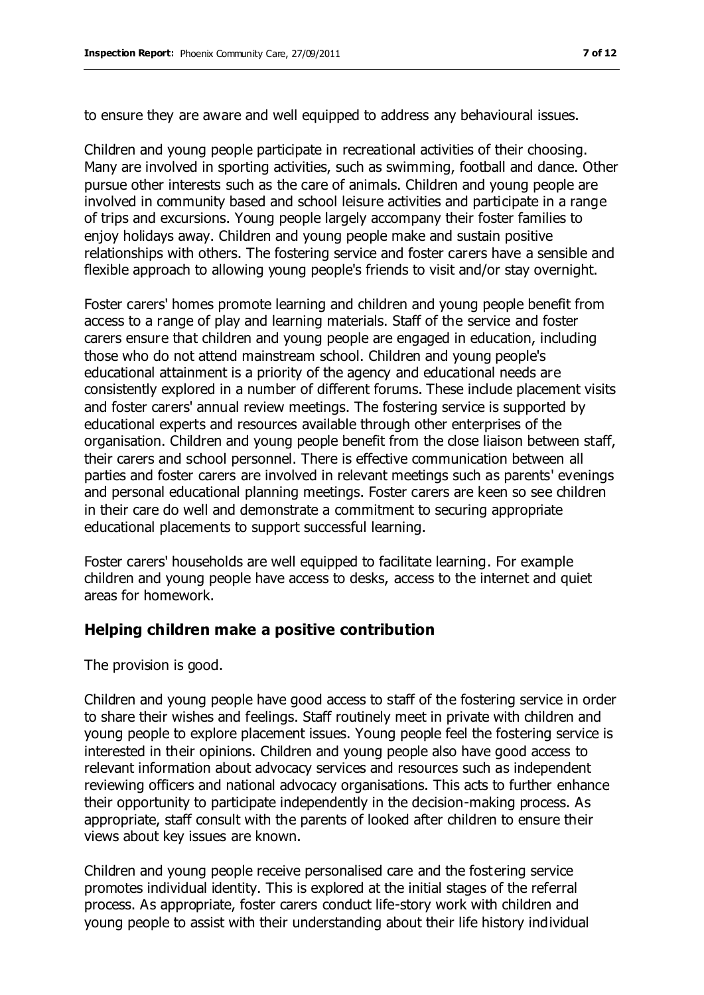to ensure they are aware and well equipped to address any behavioural issues.

Children and young people participate in recreational activities of their choosing. Many are involved in sporting activities, such as swimming, football and dance. Other pursue other interests such as the care of animals. Children and young people are involved in community based and school leisure activities and participate in a range of trips and excursions. Young people largely accompany their foster families to enjoy holidays away. Children and young people make and sustain positive relationships with others. The fostering service and foster carers have a sensible and flexible approach to allowing young people's friends to visit and/or stay overnight.

Foster carers' homes promote learning and children and young people benefit from access to a range of play and learning materials. Staff of the service and foster carers ensure that children and young people are engaged in education, including those who do not attend mainstream school. Children and young people's educational attainment is a priority of the agency and educational needs are consistently explored in a number of different forums. These include placement visits and foster carers' annual review meetings. The fostering service is supported by educational experts and resources available through other enterprises of the organisation. Children and young people benefit from the close liaison between staff, their carers and school personnel. There is effective communication between all parties and foster carers are involved in relevant meetings such as parents' evenings and personal educational planning meetings. Foster carers are keen so see children in their care do well and demonstrate a commitment to securing appropriate educational placements to support successful learning.

Foster carers' households are well equipped to facilitate learning. For example children and young people have access to desks, access to the internet and quiet areas for homework.

### **Helping children make a positive contribution**

The provision is good.

Children and young people have good access to staff of the fostering service in order to share their wishes and feelings. Staff routinely meet in private with children and young people to explore placement issues. Young people feel the fostering service is interested in their opinions. Children and young people also have good access to relevant information about advocacy services and resources such as independent reviewing officers and national advocacy organisations. This acts to further enhance their opportunity to participate independently in the decision-making process. As appropriate, staff consult with the parents of looked after children to ensure their views about key issues are known.

Children and young people receive personalised care and the fostering service promotes individual identity. This is explored at the initial stages of the referral process. As appropriate, foster carers conduct life-story work with children and young people to assist with their understanding about their life history individual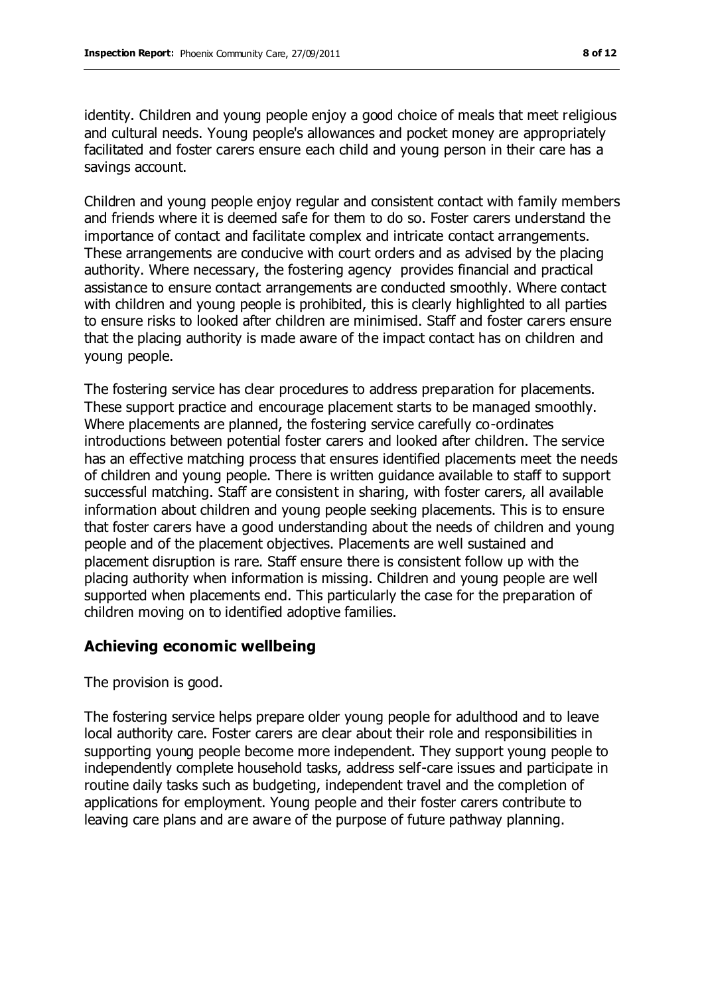identity. Children and young people enjoy a good choice of meals that meet religious and cultural needs. Young people's allowances and pocket money are appropriately facilitated and foster carers ensure each child and young person in their care has a savings account.

Children and young people enjoy regular and consistent contact with family members and friends where it is deemed safe for them to do so. Foster carers understand the importance of contact and facilitate complex and intricate contact arrangements. These arrangements are conducive with court orders and as advised by the placing authority. Where necessary, the fostering agency provides financial and practical assistance to ensure contact arrangements are conducted smoothly. Where contact with children and young people is prohibited, this is clearly highlighted to all parties to ensure risks to looked after children are minimised. Staff and foster carers ensure that the placing authority is made aware of the impact contact has on children and young people.

The fostering service has clear procedures to address preparation for placements. These support practice and encourage placement starts to be managed smoothly. Where placements are planned, the fostering service carefully co-ordinates introductions between potential foster carers and looked after children. The service has an effective matching process that ensures identified placements meet the needs of children and young people. There is written guidance available to staff to support successful matching. Staff are consistent in sharing, with foster carers, all available information about children and young people seeking placements. This is to ensure that foster carers have a good understanding about the needs of children and young people and of the placement objectives. Placements are well sustained and placement disruption is rare. Staff ensure there is consistent follow up with the placing authority when information is missing. Children and young people are well supported when placements end. This particularly the case for the preparation of children moving on to identified adoptive families.

### **Achieving economic wellbeing**

The provision is good.

The fostering service helps prepare older young people for adulthood and to leave local authority care. Foster carers are clear about their role and responsibilities in supporting young people become more independent. They support young people to independently complete household tasks, address self-care issues and participate in routine daily tasks such as budgeting, independent travel and the completion of applications for employment. Young people and their foster carers contribute to leaving care plans and are aware of the purpose of future pathway planning.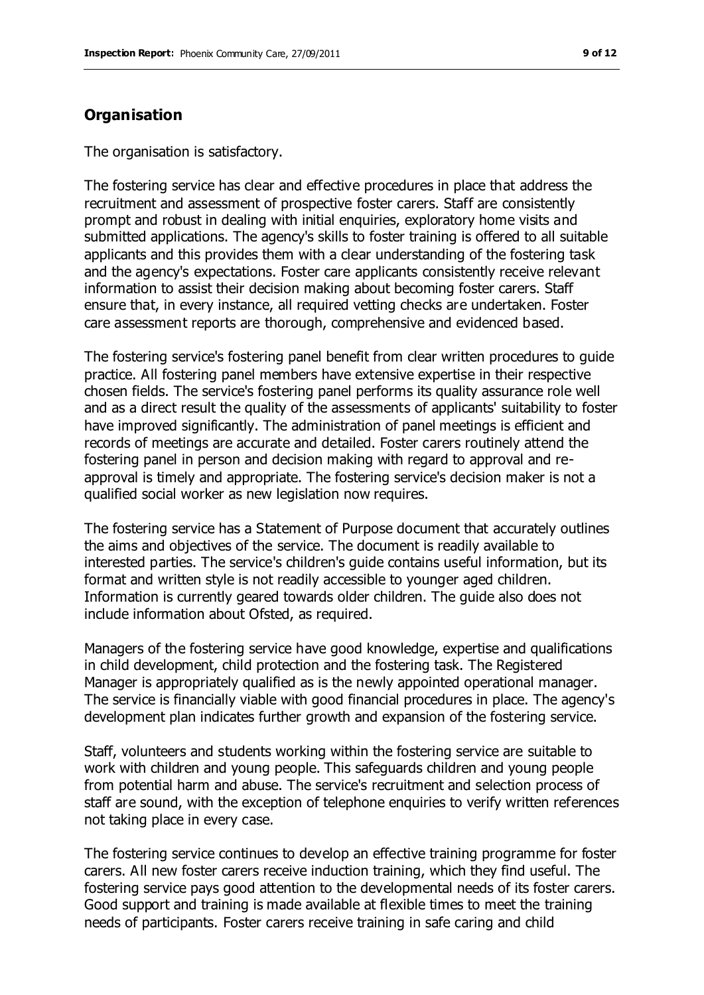## **Organisation**

The organisation is satisfactory.

The fostering service has clear and effective procedures in place that address the recruitment and assessment of prospective foster carers. Staff are consistently prompt and robust in dealing with initial enquiries, exploratory home visits and submitted applications. The agency's skills to foster training is offered to all suitable applicants and this provides them with a clear understanding of the fostering task and the agency's expectations. Foster care applicants consistently receive relevant information to assist their decision making about becoming foster carers. Staff ensure that, in every instance, all required vetting checks are undertaken. Foster care assessment reports are thorough, comprehensive and evidenced based.

The fostering service's fostering panel benefit from clear written procedures to guide practice. All fostering panel members have extensive expertise in their respective chosen fields. The service's fostering panel performs its quality assurance role well and as a direct result the quality of the assessments of applicants' suitability to foster have improved significantly. The administration of panel meetings is efficient and records of meetings are accurate and detailed. Foster carers routinely attend the fostering panel in person and decision making with regard to approval and reapproval is timely and appropriate. The fostering service's decision maker is not a qualified social worker as new legislation now requires.

The fostering service has a Statement of Purpose document that accurately outlines the aims and objectives of the service. The document is readily available to interested parties. The service's children's guide contains useful information, but its format and written style is not readily accessible to younger aged children. Information is currently geared towards older children. The guide also does not include information about Ofsted, as required.

Managers of the fostering service have good knowledge, expertise and qualifications in child development, child protection and the fostering task. The Registered Manager is appropriately qualified as is the newly appointed operational manager. The service is financially viable with good financial procedures in place. The agency's development plan indicates further growth and expansion of the fostering service.

Staff, volunteers and students working within the fostering service are suitable to work with children and young people. This safeguards children and young people from potential harm and abuse. The service's recruitment and selection process of staff are sound, with the exception of telephone enquiries to verify written references not taking place in every case.

The fostering service continues to develop an effective training programme for foster carers. All new foster carers receive induction training, which they find useful. The fostering service pays good attention to the developmental needs of its foster carers. Good support and training is made available at flexible times to meet the training needs of participants. Foster carers receive training in safe caring and child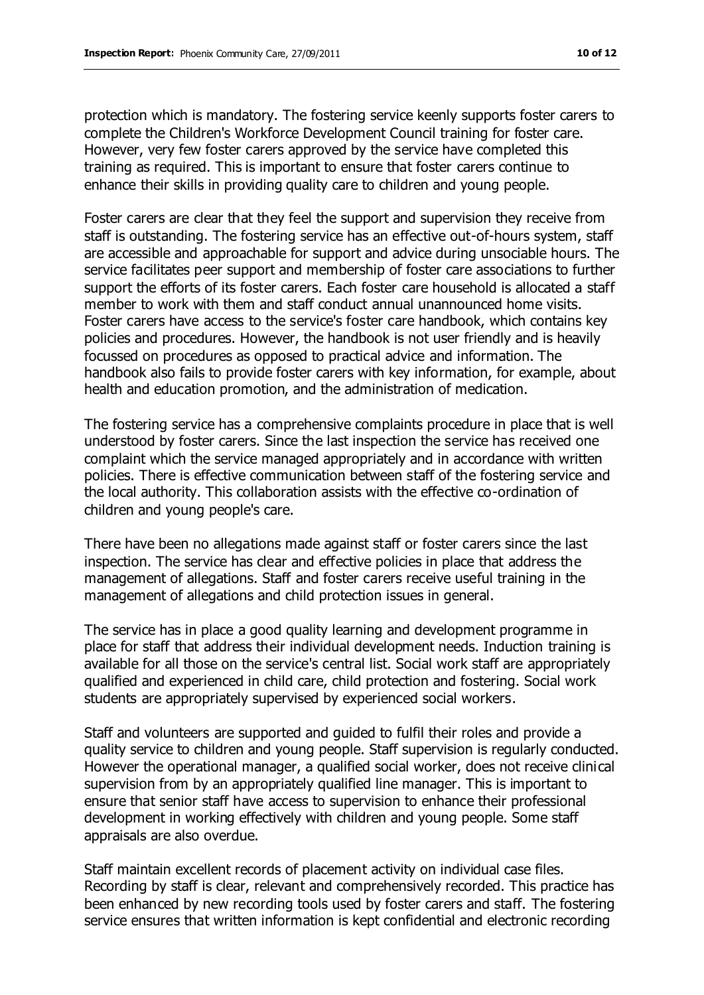protection which is mandatory. The fostering service keenly supports foster carers to complete the Children's Workforce Development Council training for foster care. However, very few foster carers approved by the service have completed this training as required. This is important to ensure that foster carers continue to enhance their skills in providing quality care to children and young people.

Foster carers are clear that they feel the support and supervision they receive from staff is outstanding. The fostering service has an effective out-of-hours system, staff are accessible and approachable for support and advice during unsociable hours. The service facilitates peer support and membership of foster care associations to further support the efforts of its foster carers. Each foster care household is allocated a staff member to work with them and staff conduct annual unannounced home visits. Foster carers have access to the service's foster care handbook, which contains key policies and procedures. However, the handbook is not user friendly and is heavily focussed on procedures as opposed to practical advice and information. The handbook also fails to provide foster carers with key information, for example, about health and education promotion, and the administration of medication.

The fostering service has a comprehensive complaints procedure in place that is well understood by foster carers. Since the last inspection the service has received one complaint which the service managed appropriately and in accordance with written policies. There is effective communication between staff of the fostering service and the local authority. This collaboration assists with the effective co-ordination of children and young people's care.

There have been no allegations made against staff or foster carers since the last inspection. The service has clear and effective policies in place that address the management of allegations. Staff and foster carers receive useful training in the management of allegations and child protection issues in general.

The service has in place a good quality learning and development programme in place for staff that address their individual development needs. Induction training is available for all those on the service's central list. Social work staff are appropriately qualified and experienced in child care, child protection and fostering. Social work students are appropriately supervised by experienced social workers.

Staff and volunteers are supported and guided to fulfil their roles and provide a quality service to children and young people. Staff supervision is regularly conducted. However the operational manager, a qualified social worker, does not receive clinical supervision from by an appropriately qualified line manager. This is important to ensure that senior staff have access to supervision to enhance their professional development in working effectively with children and young people. Some staff appraisals are also overdue.

Staff maintain excellent records of placement activity on individual case files. Recording by staff is clear, relevant and comprehensively recorded. This practice has been enhanced by new recording tools used by foster carers and staff. The fostering service ensures that written information is kept confidential and electronic recording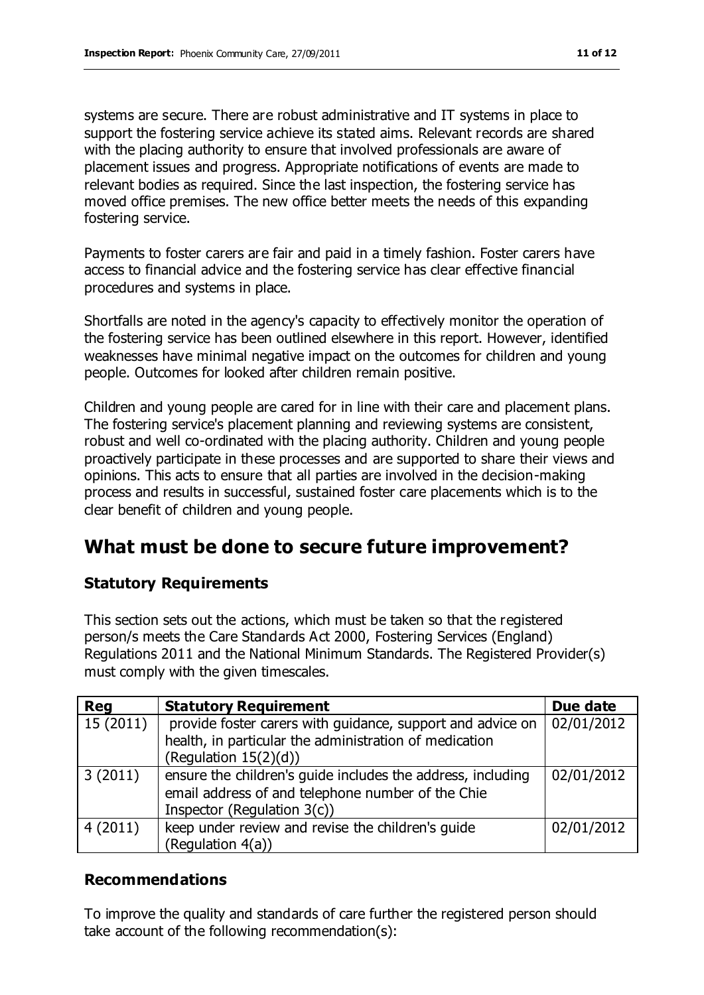systems are secure. There are robust administrative and IT systems in place to support the fostering service achieve its stated aims. Relevant records are shared with the placing authority to ensure that involved professionals are aware of placement issues and progress. Appropriate notifications of events are made to relevant bodies as required. Since the last inspection, the fostering service has moved office premises. The new office better meets the needs of this expanding fostering service.

Payments to foster carers are fair and paid in a timely fashion. Foster carers have access to financial advice and the fostering service has clear effective financial procedures and systems in place.

Shortfalls are noted in the agency's capacity to effectively monitor the operation of the fostering service has been outlined elsewhere in this report. However, identified weaknesses have minimal negative impact on the outcomes for children and young people. Outcomes for looked after children remain positive.

Children and young people are cared for in line with their care and placement plans. The fostering service's placement planning and reviewing systems are consistent, robust and well co-ordinated with the placing authority. Children and young people proactively participate in these processes and are supported to share their views and opinions. This acts to ensure that all parties are involved in the decision-making process and results in successful, sustained foster care placements which is to the clear benefit of children and young people.

# **What must be done to secure future improvement?**

### **Statutory Requirements**

This section sets out the actions, which must be taken so that the registered person/s meets the Care Standards Act 2000, Fostering Services (England) Regulations 2011 and the National Minimum Standards. The Registered Provider(s) must comply with the given timescales.

| <b>Reg</b> | <b>Statutory Requirement</b>                                                                                                                     | Due date   |
|------------|--------------------------------------------------------------------------------------------------------------------------------------------------|------------|
| 15(2011)   | provide foster carers with guidance, support and advice on<br>health, in particular the administration of medication<br>(Regulation $15(2)(d)$ ) | 02/01/2012 |
| 3(2011)    | ensure the children's guide includes the address, including<br>email address of and telephone number of the Chie<br>Inspector (Regulation 3(c))  | 02/01/2012 |
| 4(2011)    | keep under review and revise the children's guide<br>(Regulation 4(a))                                                                           | 02/01/2012 |

### **Recommendations**

To improve the quality and standards of care further the registered person should take account of the following recommendation(s):